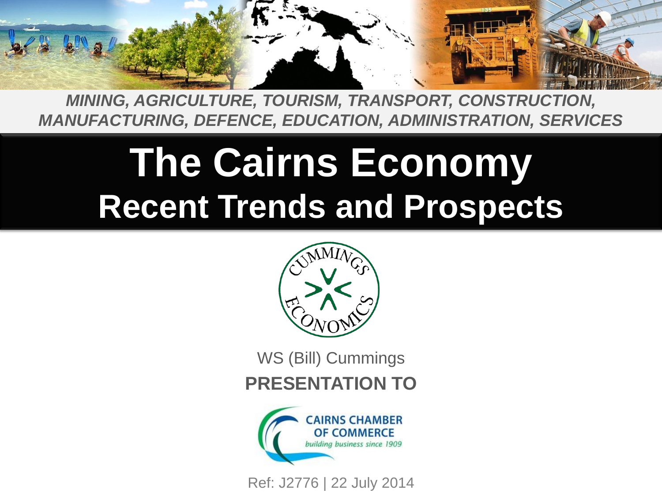

*MINING, AGRICULTURE, TOURISM, TRANSPORT, CONSTRUCTION, MANUFACTURING, DEFENCE, EDUCATION, ADMINISTRATION, SERVICES* 

# **The Cairns Economy Recent Trends and Prospects**



WS (Bill) Cummings

**PRESENTATION TO**



Ref: J2776 | 22 July 2014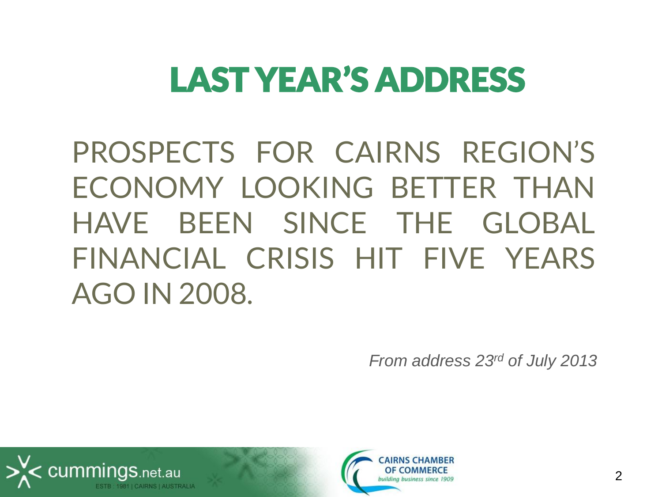# LAST YEAR'S ADDRESS

PROSPECTS FOR CAIRNS REGION'S ECONOMY LOOKING BETTER THAN HAVE BEEN SINCE THE GLOBAL FINANCIAL CRISIS HIT FIVE YEARS AGO IN 2008.

*From address 23rd of July 2013*



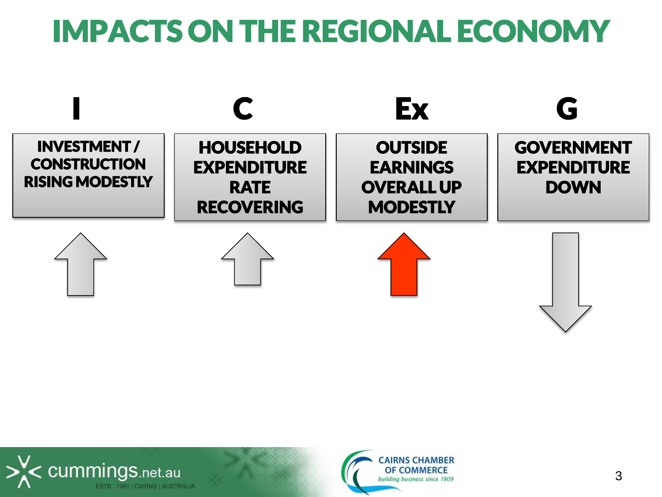## IMPACTS ON THE REGIONAL ECONOMY





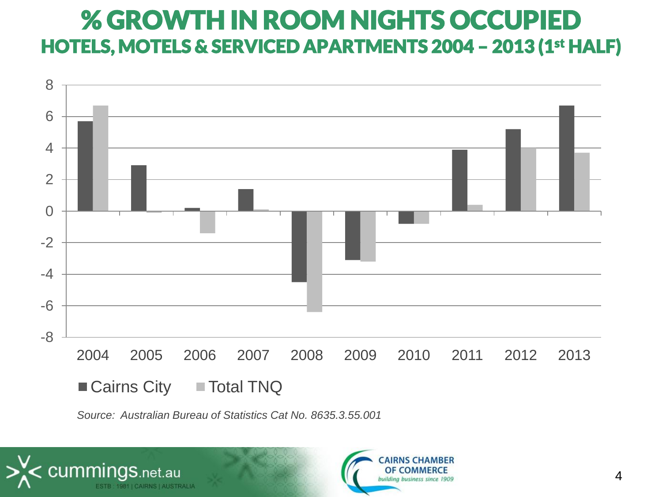#### % GROWTH IN ROOM NIGHTS OCCUPIED HOTELS, MOTELS & SERVICED APARTMENTS 2004 - 2013 (1st HALF)



*Source: Australian Bureau of Statistics Cat No. 8635.3.55.001*



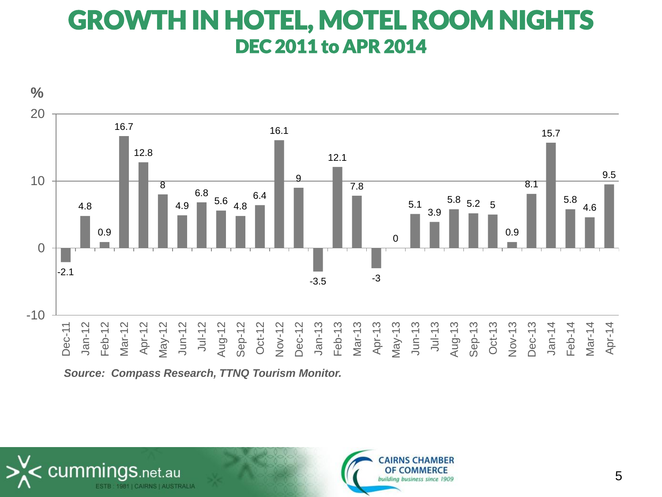#### GROWTH IN HOTEL, MOTEL ROOM NIGHTS DEC 2011 to APR 2014



*Source: Compass Research, TTNQ Tourism Monitor.*



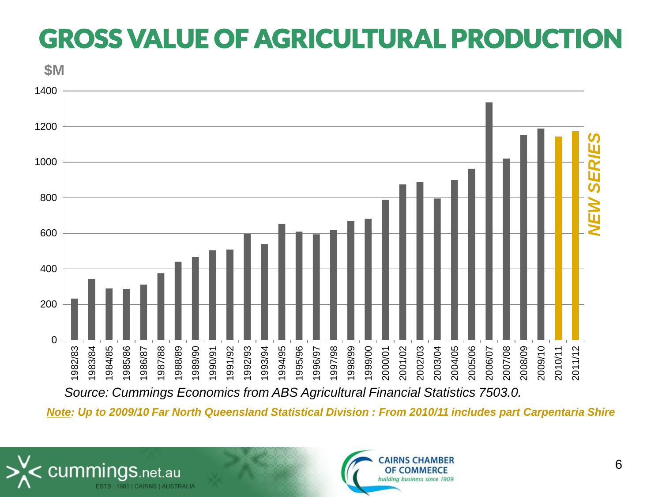## GROSS VALUE OF AGRICULTURAL PRODUCTION





*Source: Cummings Economics from ABS Agricultural Financial Statistics 7503.0.*

*Note: Up to 2009/10 Far North Queensland Statistical Division : From 2010/11 includes part Carpentaria Shire*



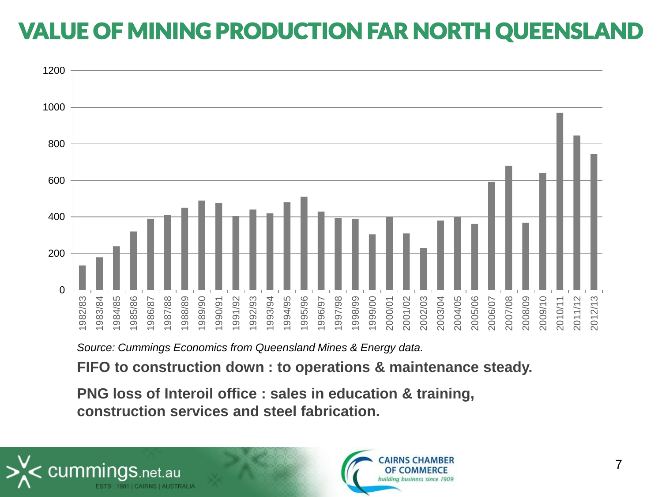### VALUE OF MINING PRODUCTION FAR NORTH QUEENSLAND



*Source: Cummings Economics from Queensland Mines & Energy data.*

**FIFO to construction down : to operations & maintenance steady.**

**PNG loss of Interoil office : sales in education & training, construction services and steel fabrication.**



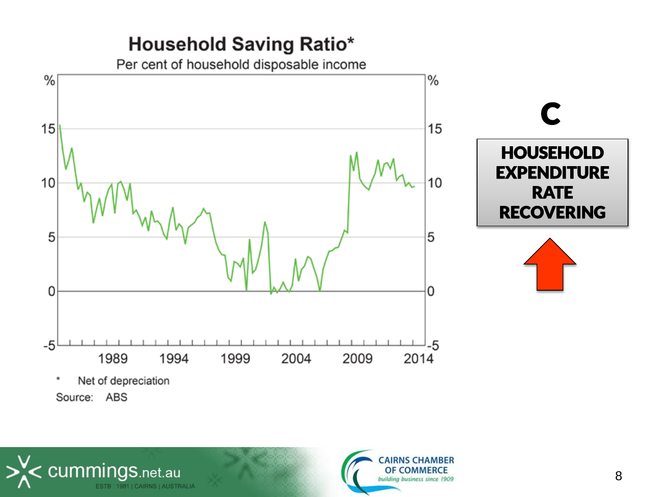#### **Household Saving Ratio\***

Per cent of household disposable income





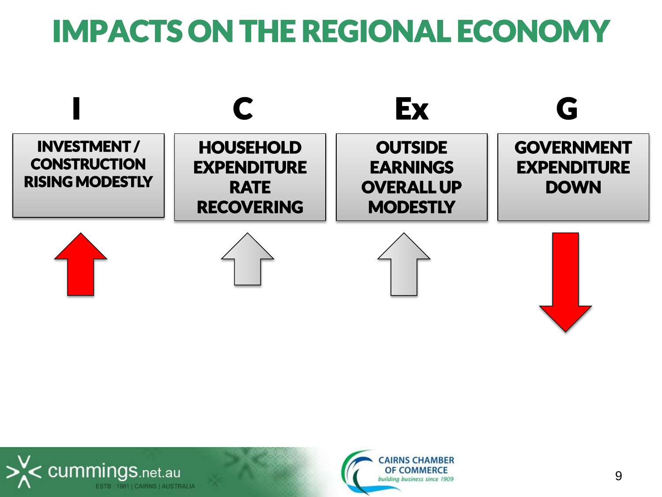## IMPACTS ON THE REGIONAL ECONOMY





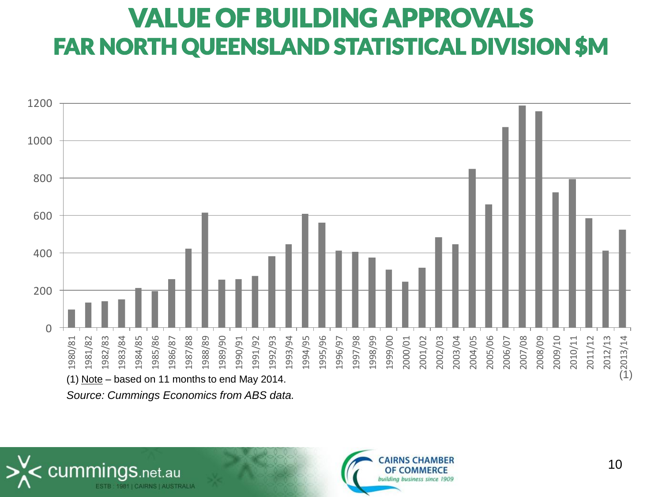### VALUE OF BUILDING APPROVALS FAR NORTH QUEENSLAND STATISTICAL DIVISION \$M





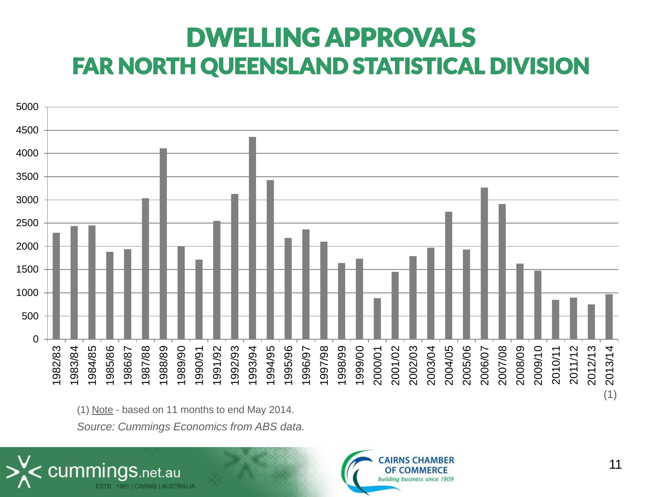### DWELLING APPROVALS FAR NORTH QUEENSLAND STATISTICAL DIVISION



(1) Note - based on 11 months to end May 2014.

*Source: Cummings Economics from ABS data.*



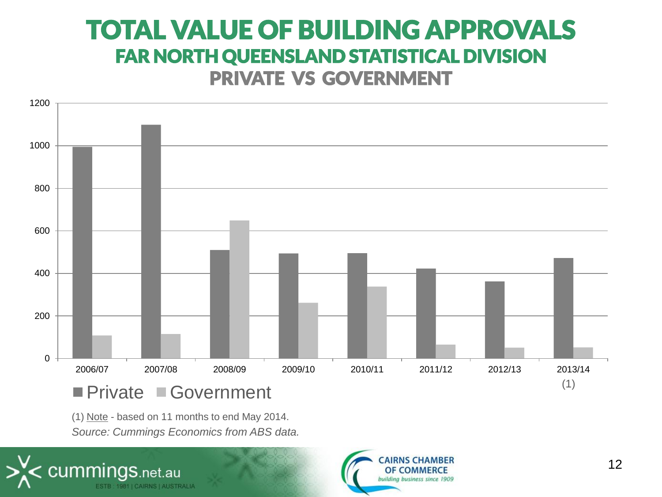#### TOTAL VALUE OF BUILDING APPROVALS FAR NORTH QUEENSLAND STATISTICAL DIVISION PRIVATE VS GOVERNMENT



*Source: Cummings Economics from ABS data.* (1) Note - based on 11 months to end May 2014.



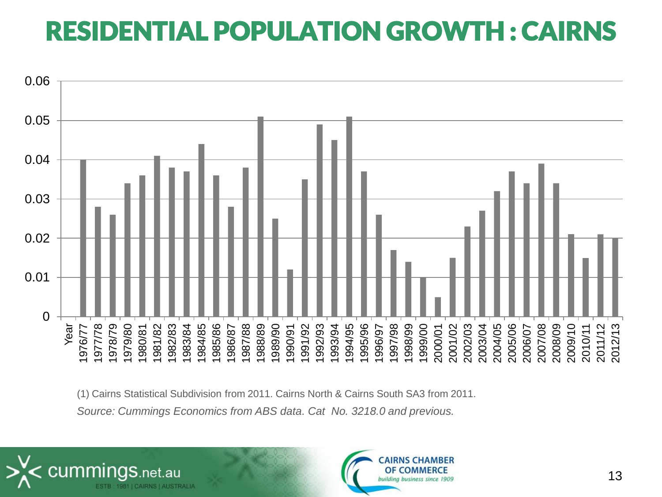## RESIDENTIAL POPULATION GROWTH : CAIRNS



*Source: Cummings Economics from ABS data. Cat No. 3218.0 and previous.* (1) Cairns Statistical Subdivision from 2011. Cairns North & Cairns South SA3 from 2011.



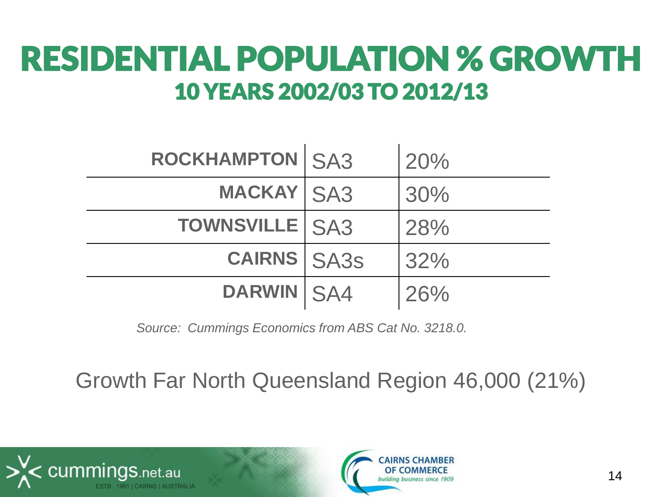## RESIDENTIAL POPULATION % GROWTH 10 YEARS 2002/03 TO 2012/13

| ROCKHAMPTON SA3         | 20% |
|-------------------------|-----|
| <b>MACKAY SA3</b>       | 30% |
| <b>TOWNSVILLE   SA3</b> | 28% |
| <b>CAIRNS SA3S</b>      | 32% |
| <b>DARWIN SA4</b>       | 26% |

*Source: Cummings Economics from ABS Cat No. 3218.0.*

Growth Far North Queensland Region 46,000 (21%)



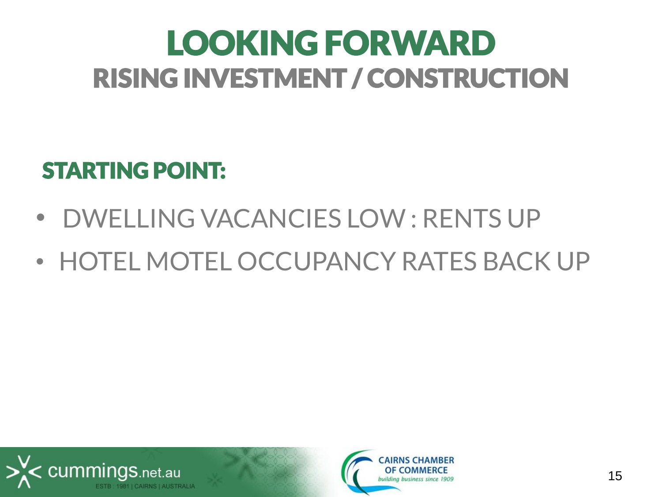# LOOKING FORWARD RISING INVESTMENT / CONSTRUCTION

### STARTING POINT:

- •DWELLING VACANCIES LOW : RENTS UP
- HOTEL MOTEL OCCUPANCY RATES BACK UP



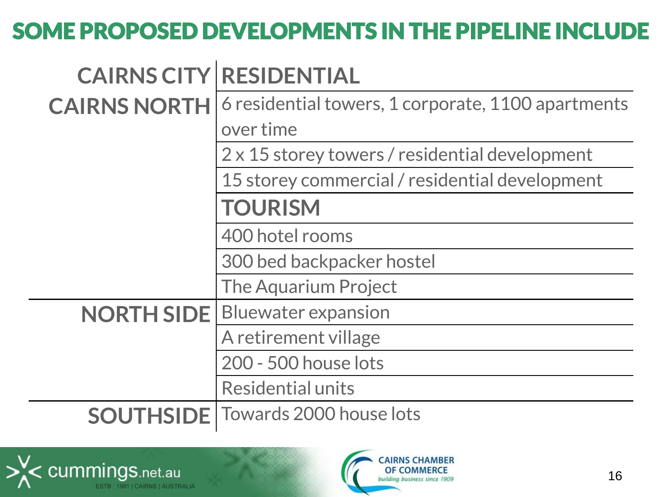#### SOME PROPOSED DEVELOPMENTS IN THE PIPELINE INCLUDE

|                     | <b>CAIRNS CITY RESIDENTIAL</b>                     |
|---------------------|----------------------------------------------------|
| <b>CAIRNS NORTH</b> | 6 residential towers, 1 corporate, 1100 apartments |
|                     | over time                                          |
|                     | 2 x 15 storey towers / residential development     |
|                     | 15 storey commercial / residential development     |
|                     | <b>TOURISM</b>                                     |
|                     | 400 hotel rooms                                    |
|                     | 300 bed backpacker hostel                          |
|                     | The Aquarium Project                               |
| <b>NORTH SIDE</b>   | <b>Bluewater expansion</b>                         |
|                     | A retirement village                               |
|                     | 200 - 500 house lots                               |
|                     | <b>Residential units</b>                           |
|                     | <b>SOUTHSIDE</b>   Towards 2000 house lots         |



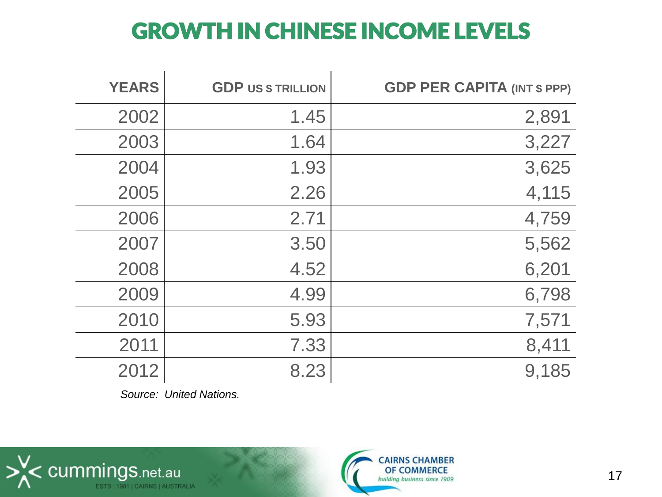#### GROWTH IN CHINESE INCOME LEVELS

| <b>YEARS</b> | <b>GDP US \$ TRILLION</b> | <b>GDP PER CAPITA (INT \$ PPP)</b> |
|--------------|---------------------------|------------------------------------|
| 2002         | 1.45                      | 2,891                              |
| 2003         | 1.64                      | 3,227                              |
| 2004         | 1.93                      | 3,625                              |
| 2005         | 2.26                      | 4,115                              |
| 2006         | 2.71                      | 4,759                              |
| 2007         | 3.50                      | 5,562                              |
| 2008         | 4.52                      | 6,201                              |
| 2009         | 4.99                      | 6,798                              |
| 2010         | 5.93                      | 7,571                              |
| 2011         | 7.33                      | 8,411                              |
| 2012         | 8.23                      | 9,185                              |

*Source: United Nations.*



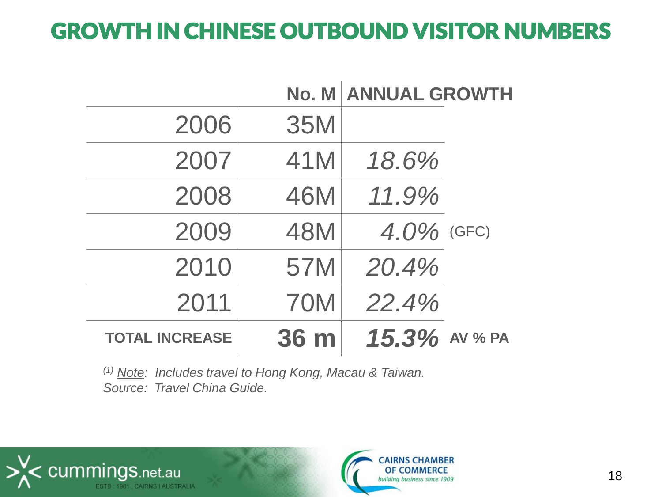#### GROWTH IN CHINESE OUTBOUND VISITOR NUMBERS

|                       |            | <b>No. M ANNUAL GROWTH</b> |  |
|-----------------------|------------|----------------------------|--|
| 2006                  | <b>35M</b> |                            |  |
| 2007                  | 41M        | 18.6%                      |  |
| 2008                  | <b>46M</b> | 11.9%                      |  |
| 2009                  | <b>48M</b> | $4.0\%$ (GFC)              |  |
| 2010                  | 57M        | 20.4%                      |  |
| 2011                  | <b>70M</b> | 22.4%                      |  |
| <b>TOTAL INCREASE</b> | 36 m       | 15.3% AV % PA              |  |

*(1) Note: Includes travel to Hong Kong, Macau & Taiwan. Source: Travel China Guide.*



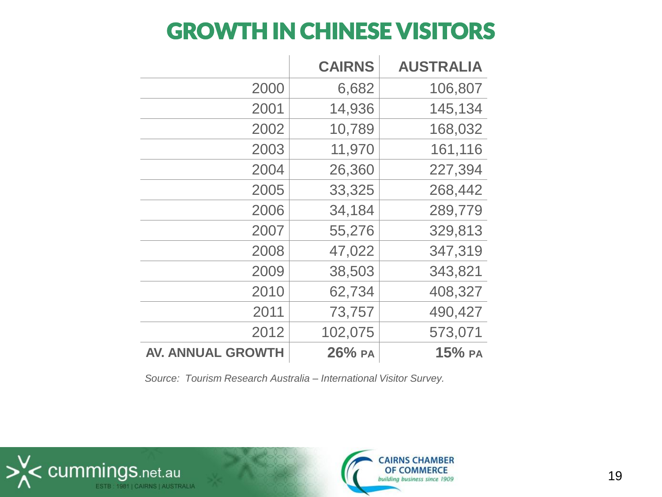#### GROWTH IN CHINESE VISITORS

|                          | <b>CAIRNS</b> | <b>AUSTRALIA</b> |
|--------------------------|---------------|------------------|
| 2000                     | 6,682         | 106,807          |
| 2001                     | 14,936        | 145,134          |
| 2002                     | 10,789        | 168,032          |
| 2003                     | 11,970        | 161,116          |
| 2004                     | 26,360        | 227,394          |
| 2005                     | 33,325        | 268,442          |
| 2006                     | 34,184        | 289,779          |
| 2007                     | 55,276        | 329,813          |
| 2008                     | 47,022        | 347,319          |
| 2009                     | 38,503        | 343,821          |
| 2010                     | 62,734        | 408,327          |
| 2011                     | 73,757        | 490,427          |
| 2012                     | 102,075       | 573,071          |
| <b>AV. ANNUAL GROWTH</b> | $26%$ PA      | $15%$ PA         |

*Source: Tourism Research Australia – International Visitor Survey.*



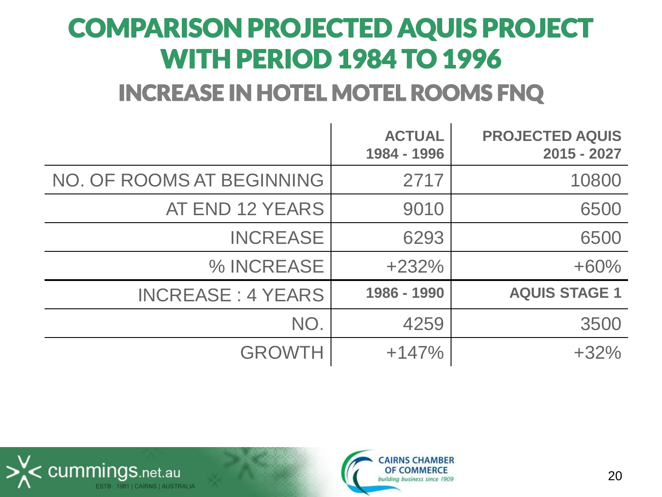## COMPARISON PROJECTED AQUIS PROJECT WITH PERIOD 1984 TO 1996

#### INCREASE IN HOTEL MOTEL ROOMS FNQ

|                           | <b>ACTUAL</b><br>1984 - 1996 | <b>PROJECTED AQUIS</b><br>2015 - 2027 |
|---------------------------|------------------------------|---------------------------------------|
| NO. OF ROOMS AT BEGINNING | 2717                         | 10800                                 |
| AT END 12 YEARS           | 9010                         | 6500                                  |
| <b>INCREASE</b>           | 6293                         | 6500                                  |
| % INCREASE                | $+232%$                      | $+60%$                                |
| <b>INCREASE: 4 YEARS</b>  | 1986 - 1990                  | <b>AQUIS STAGE 1</b>                  |
| NO.                       | 4259                         | 3500                                  |
| <b>GROWTH</b>             | $+147%$                      | $+32%$                                |



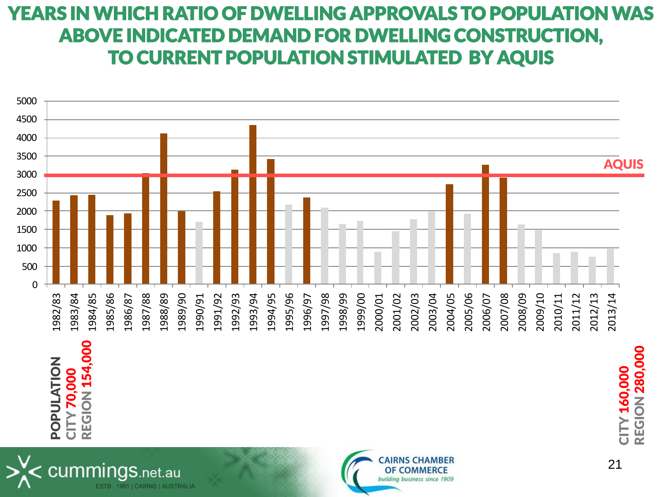#### YEARS IN WHICH RATIO OF DWELLING APPROVALS TO POPULATION WAS ABOVE INDICATED DEMAND FOR DWELLING CONSTRUCTION, TO CURRENT POPULATION STIMULATED BY AQUIS

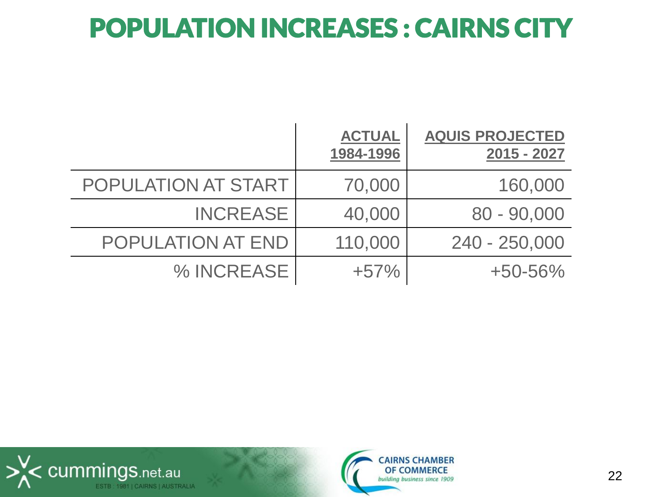### POPULATION INCREASES : CAIRNS CITY

|                          | <b>ACTUAL</b><br>1984-1996 | <b>AQUIS PROJECTED</b><br>2015 - 2027 |
|--------------------------|----------------------------|---------------------------------------|
| POPULATION AT START      | 70,000                     | 160,000                               |
| <b>INCREASE</b>          | 40,000                     | $80 - 90,000$                         |
| <b>POPULATION AT END</b> | 110,000                    | 240 - 250,000                         |
| % INCREASE               | $+57%$                     | $+50 - 56%$                           |



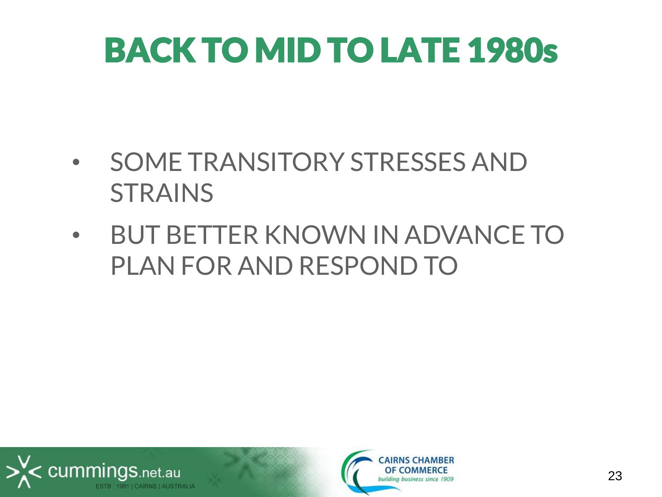# BACK TO MID TO LATE 1980s

- SOME TRANSITORY STRESSES AND STRAINS
- BUT BETTER KNOWN IN ADVANCE TO PLAN FOR AND RESPOND TO



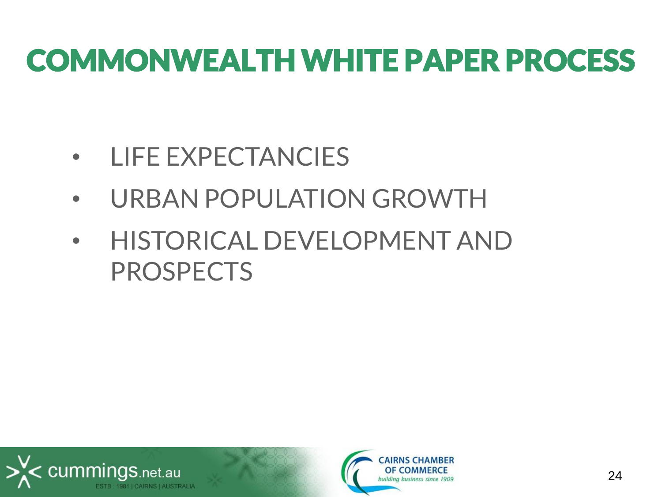## COMMONWEALTH WHITE PAPER PROCESS

- LIFE EXPECTANCIES
- URBAN POPULATION GROWTH
- HISTORICAL DEVELOPMENT AND PROSPECTS



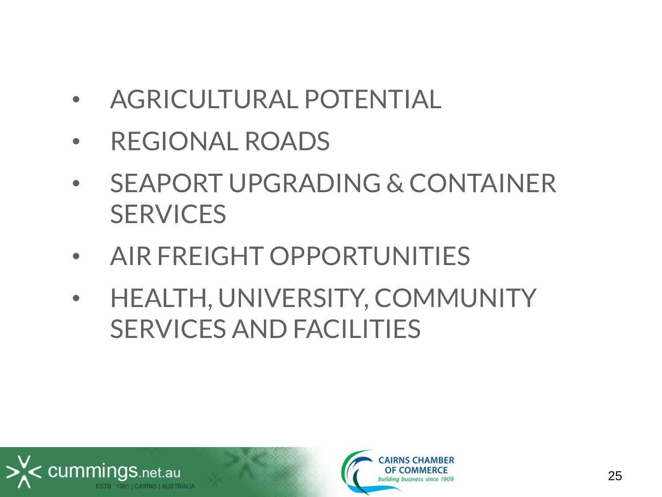- AGRICULTURAL POTENTIAL
- REGIONAL ROADS
- SEAPORT UPGRADING & CONTAINER **SERVICES**
- AIR FREIGHT OPPORTUNITIES
- HEALTH, UNIVERSITY, COMMUNITY SERVICES AND FACILITIES